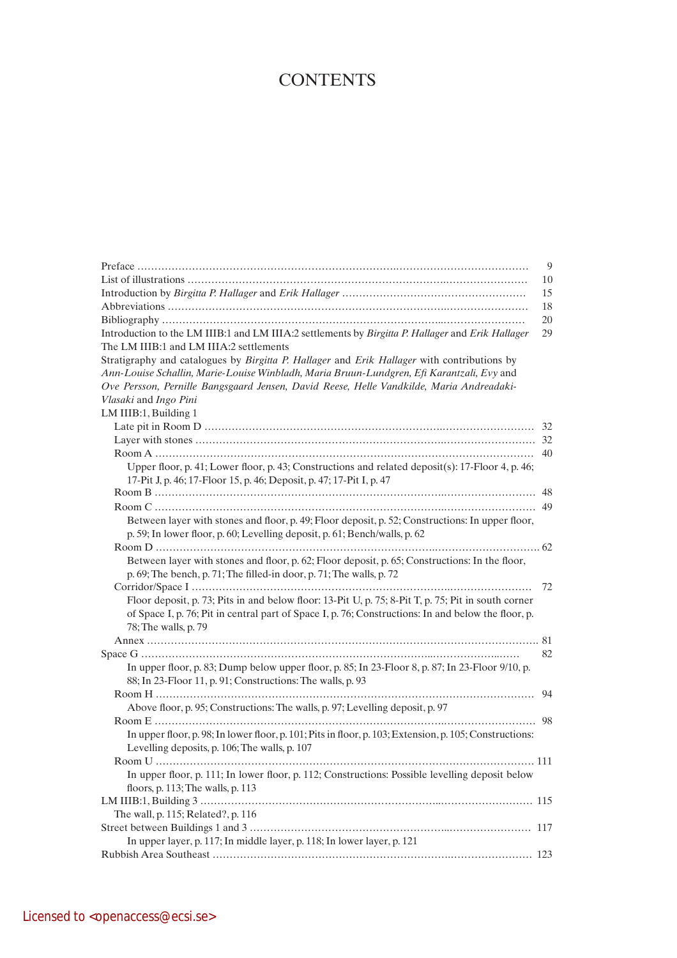## **CONTENTS**

|                                                                                                         | 9   |
|---------------------------------------------------------------------------------------------------------|-----|
|                                                                                                         | 10  |
|                                                                                                         | 15  |
|                                                                                                         | 18  |
|                                                                                                         | 20  |
| Introduction to the LM IIIB:1 and LM IIIA:2 settlements by Birgitta P. Hallager and Erik Hallager       | 29  |
| The LM IIIB:1 and LM IIIA:2 settlements                                                                 |     |
| Stratigraphy and catalogues by Birgitta P. Hallager and Erik Hallager with contributions by             |     |
| Ann-Louise Schallin, Marie-Louise Winbladh, Maria Bruun-Lundgren, Efi Karantzali, Evy and               |     |
| Ove Persson, Pernille Bangsgaard Jensen, David Reese, Helle Vandkilde, Maria Andreadaki-                |     |
| Vlasaki and Ingo Pini                                                                                   |     |
| LM IIIB:1, Building 1                                                                                   |     |
|                                                                                                         |     |
|                                                                                                         |     |
|                                                                                                         |     |
| Upper floor, p. 41; Lower floor, p. 43; Constructions and related deposit(s): 17-Floor 4, p. 46;        |     |
| 17-Pit J, p. 46; 17-Floor 15, p. 46; Deposit, p. 47; 17-Pit I, p. 47                                    |     |
|                                                                                                         |     |
|                                                                                                         |     |
| Between layer with stones and floor, p. 49; Floor deposit, p. 52; Constructions: In upper floor,        |     |
| p. 59; In lower floor, p. 60; Levelling deposit, p. 61; Bench/walls, p. 62                              |     |
|                                                                                                         |     |
| Between layer with stones and floor, p. 62; Floor deposit, p. 65; Constructions: In the floor,          |     |
| p. 69; The bench, p. 71; The filled-in door, p. 71; The walls, p. 72                                    |     |
|                                                                                                         | 72  |
| Floor deposit, p. 73; Pits in and below floor: 13-Pit U, p. 75; 8-Pit T, p. 75; Pit in south corner     |     |
| of Space I, p. 76; Pit in central part of Space I, p. 76; Constructions: In and below the floor, p.     |     |
| 78; The walls, p. 79                                                                                    |     |
|                                                                                                         |     |
|                                                                                                         | 82  |
| In upper floor, p. 83; Dump below upper floor, p. 85; In 23-Floor 8, p. 87; In 23-Floor 9/10, p.        |     |
| 88; In 23-Floor 11, p. 91; Constructions: The walls, p. 93                                              |     |
|                                                                                                         | 94  |
| Above floor, p. 95; Constructions: The walls, p. 97; Levelling deposit, p. 97                           |     |
|                                                                                                         | -98 |
| In upper floor, p. 98; In lower floor, p. 101; Pits in floor, p. 103; Extension, p. 105; Constructions: |     |
| Levelling deposits, p. 106; The walls, p. 107                                                           |     |
|                                                                                                         |     |
| In upper floor, p. 111; In lower floor, p. 112; Constructions: Possible levelling deposit below         |     |
| floors, p. 113; The walls, p. 113                                                                       |     |
|                                                                                                         |     |
| The wall, p. 115; Related?, p. 116                                                                      |     |
|                                                                                                         |     |
| In upper layer, p. 117; In middle layer, p. 118; In lower layer, p. 121                                 |     |
|                                                                                                         |     |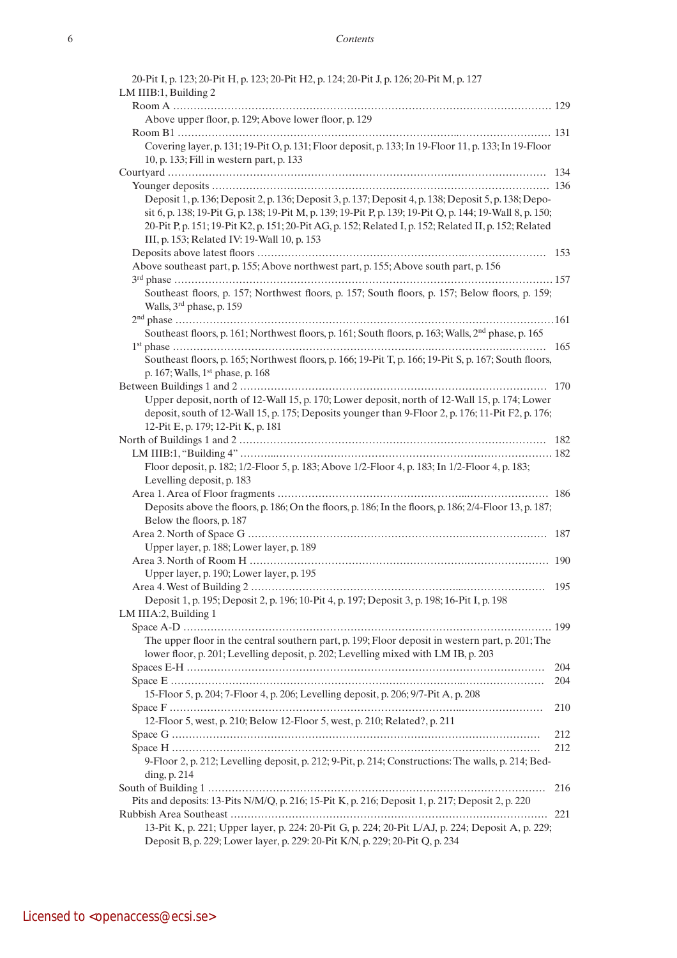| 20-Pit I, p. 123; 20-Pit H, p. 123; 20-Pit H2, p. 124; 20-Pit J, p. 126; 20-Pit M, p. 127                      |     |
|----------------------------------------------------------------------------------------------------------------|-----|
| LM IIIB:1, Building 2                                                                                          |     |
|                                                                                                                |     |
| Above upper floor, p. 129; Above lower floor, p. 129                                                           |     |
|                                                                                                                |     |
| Covering layer, p. 131; 19-Pit O, p. 131; Floor deposit, p. 133; In 19-Floor 11, p. 133; In 19-Floor           |     |
| 10, p. 133; Fill in western part, p. 133                                                                       |     |
|                                                                                                                |     |
|                                                                                                                |     |
| Deposit 1, p. 136; Deposit 2, p. 136; Deposit 3, p. 137; Deposit 4, p. 138; Deposit 5, p. 138; Depo-           |     |
| sit 6, p. 138; 19-Pit G, p. 138; 19-Pit M, p. 139; 19-Pit P, p. 139; 19-Pit Q, p. 144; 19-Wall 8, p. 150;      |     |
| 20-Pit P, p. 151; 19-Pit K2, p. 151; 20-Pit AG, p. 152; Related I, p. 152; Related II, p. 152; Related         |     |
| III, p. 153; Related IV: 19-Wall 10, p. 153                                                                    |     |
|                                                                                                                |     |
| Above southeast part, p. 155; Above northwest part, p. 155; Above south part, p. 156                           |     |
|                                                                                                                |     |
| Southeast floors, p. 157; Northwest floors, p. 157; South floors, p. 157; Below floors, p. 159;                |     |
| Walls, 3 <sup>rd</sup> phase, p. 159                                                                           |     |
|                                                                                                                |     |
| Southeast floors, p. 161; Northwest floors, p. 161; South floors, p. 163; Walls, 2 <sup>nd</sup> phase, p. 165 |     |
|                                                                                                                |     |
| Southeast floors, p. 165; Northwest floors, p. 166; 19-Pit T, p. 166; 19-Pit S, p. 167; South floors,          |     |
| p. 167; Walls, 1 <sup>st</sup> phase, p. 168                                                                   |     |
|                                                                                                                |     |
| Upper deposit, north of 12-Wall 15, p. 170; Lower deposit, north of 12-Wall 15, p. 174; Lower                  |     |
| deposit, south of 12-Wall 15, p. 175; Deposits younger than 9-Floor 2, p. 176; 11-Pit F2, p. 176;              |     |
| 12-Pit E, p. 179; 12-Pit K, p. 181                                                                             |     |
|                                                                                                                |     |
|                                                                                                                |     |
| Floor deposit, p. 182; 1/2-Floor 5, p. 183; Above 1/2-Floor 4, p. 183; In 1/2-Floor 4, p. 183;                 |     |
| Levelling deposit, p. 183                                                                                      |     |
|                                                                                                                |     |
| Deposits above the floors, p. 186; On the floors, p. 186; In the floors, p. 186; 2/4-Floor 13, p. 187;         |     |
| Below the floors, p. 187                                                                                       |     |
|                                                                                                                |     |
| Upper layer, p. 188; Lower layer, p. 189                                                                       |     |
|                                                                                                                |     |
| Upper layer, p. 190; Lower layer, p. 195                                                                       |     |
|                                                                                                                |     |
| Deposit 1, p. 195; Deposit 2, p. 196; 10-Pit 4, p. 197; Deposit 3, p. 198; 16-Pit I, p. 198                    |     |
| LM IIIA:2, Building 1                                                                                          |     |
|                                                                                                                |     |
| The upper floor in the central southern part, p. 199; Floor deposit in western part, p. 201; The               |     |
| lower floor, p. 201; Levelling deposit, p. 202; Levelling mixed with LM IB, p. 203                             |     |
|                                                                                                                | 204 |
|                                                                                                                | 204 |
| 15-Floor 5, p. 204; 7-Floor 4, p. 206; Levelling deposit, p. 206; 9/7-Pit A, p. 208                            |     |
|                                                                                                                | 210 |
| 12-Floor 5, west, p. 210; Below 12-Floor 5, west, p. 210; Related?, p. 211                                     |     |
|                                                                                                                | 212 |
|                                                                                                                | 212 |
| 9-Floor 2, p. 212; Levelling deposit, p. 212; 9-Pit, p. 214; Constructions: The walls, p. 214; Bed-            |     |
| ding, p. 214                                                                                                   |     |
|                                                                                                                | 216 |
| Pits and deposits: 13-Pits N/M/Q, p. 216; 15-Pit K, p. 216; Deposit 1, p. 217; Deposit 2, p. 220               |     |
|                                                                                                                |     |
| 13-Pit K, p. 221; Upper layer, p. 224: 20-Pit G, p. 224; 20-Pit L/AJ, p. 224; Deposit A, p. 229;               |     |
| Deposit B, p. 229; Lower layer, p. 229: 20-Pit K/N, p. 229; 20-Pit Q, p. 234                                   |     |